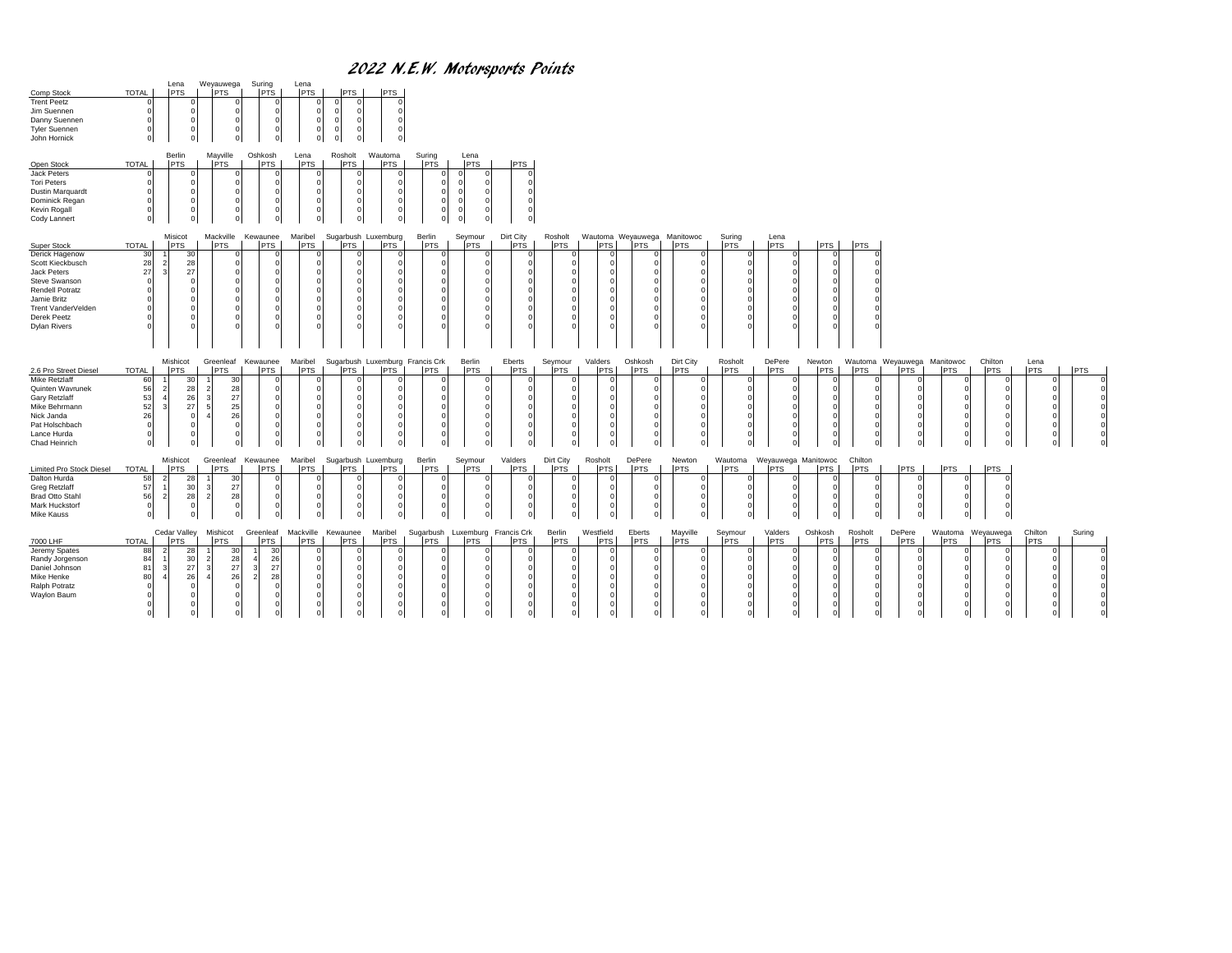## 2022 N.E.W. Motorsports Points

| Comp Stock<br><b>Trent Peetz</b><br>Jim Suennen<br>Danny Suennen<br><b>Tyler Suennen</b><br>John Hornick                                                                               | Suring<br>Lena<br>Weyauwega<br>PTS.<br><b>PTS</b><br><b>TOTAL</b><br><b>PTS</b><br>$\mathbf 0$<br>$\Omega$<br>$\mathbf 0$<br>$^{\circ}$                                                                                                                                                              | Lena<br><b>PTS</b><br><b>PTS</b><br><b>IPTS</b><br>$\Omega$<br>$\epsilon$<br>$\Omega$<br>$\Omega$<br>$\epsilon$ |                                                                                                   |                                                                                                |                                                                                                         |                                                                                     |
|----------------------------------------------------------------------------------------------------------------------------------------------------------------------------------------|------------------------------------------------------------------------------------------------------------------------------------------------------------------------------------------------------------------------------------------------------------------------------------------------------|-----------------------------------------------------------------------------------------------------------------|---------------------------------------------------------------------------------------------------|------------------------------------------------------------------------------------------------|---------------------------------------------------------------------------------------------------------|-------------------------------------------------------------------------------------|
| Open Stock<br>Jack Peters<br><b>Tori Peters</b><br>Dustin Marquardt<br>Dominick Regan<br>Kevin Rogall<br>Cody Lannert                                                                  | Berlin<br>Mayville<br>Oshkosh<br><b>PTS</b><br><b>TOTAL</b><br>PTS<br>PTS<br>$\Omega$<br>$\Omega$<br>$\Omega$<br>$\overline{0}$<br>$^{\circ}$                                                                                                                                                        | Wautoma<br>Rosholt<br>Lena<br>PTS<br><b>IPTS</b><br><b>PTS</b><br>$^{\circ}$                                    | Suring<br>Lena<br><b>PTS</b><br><b>PTS</b><br>PTS                                                 |                                                                                                |                                                                                                         |                                                                                     |
| Super Stock<br>Derick Hagenow<br>Scott Kieckbusch<br>Jack Peters<br>Steve Swanson<br><b>Rendell Potratz</b><br>Jamie Britz<br>Trent VanderVelden<br>Derek Peetz<br><b>Dylan Rivers</b> | Misicot<br>Mackville<br>Kewaunee<br><b>TOTAL</b><br><b>PTS</b><br><b>PTS</b><br><b>PTS</b><br>30<br>30<br>28<br>28<br>27<br>27<br>$\Omega$<br>$\Omega$<br>$\Omega$<br>$\Omega$<br>$\Omega$                                                                                                           | Maribel<br>Sugarbush Luxemburg<br><b>PTS</b><br><b>PTS</b><br><b>PTS</b>                                        | Dirt City<br>Berlin<br>Seymour<br>Rosholt<br>PTS<br><b>PTS</b><br><b>PTS</b><br><b>PTS</b>        | Wautoma Weyauwega Manitowoc<br>Suring<br><b>PTS</b><br><b>PTS</b><br><b>PTS</b><br><b>PTS</b>  | Lena<br><b>PTS</b><br><b>PTS</b><br><b>PTS</b>                                                          |                                                                                     |
| 2.6 Pro Street Diesel<br>Mike Retzlaff<br>Quinten Wavrunek<br>Gary Retzlaff<br>Mike Behrmann<br>Nick Janda<br>Pat Holschbach<br>Lance Hurda<br>Chad Heinrich                           | Mishicot<br>Greenleaf<br>Kewaunee<br>TOTAL<br><b>PTS</b><br><b>PTS</b><br><b>PTS</b><br>60<br>30<br>30<br>56<br>28<br>28<br>$\overline{\mathbf{c}}$<br>53<br>27<br>26<br>-3<br>52<br>5<br>25<br>27<br>26<br>26<br>$\overline{A}$<br>$\Omega$<br>$\Omega$<br>$\Omega$<br>$^{\circ}$<br>$\overline{0}$ | Sugarbush Luxemburg Francis Crk<br>Maribel<br>PTS<br><b>PTS</b><br>PTS                                          | Berlin<br>Eberts<br>Seymour<br><b>PTS</b><br><b>PTS</b><br><b>PTS</b><br><b>PTS</b>               | Valders<br>Oshkosh<br>Dirt City<br>Rosholt<br>PTS<br><b>PTS</b><br><b>PTS</b><br><b>PTS</b>    | DePere<br>Wautoma Weyauwega Manitowoc<br>Newton<br><b>PTS</b><br><b>PTS</b><br><b>PTS</b><br><b>PTS</b> | Chilton<br>Lena<br><b>PTS</b><br>PTS<br><b>PTS</b><br><b>PTS</b>                    |
| <b>Limited Pro Stock Diesel</b><br>Dalton Hurda<br><b>Greg Retzlaff</b><br><b>Brad Otto Stahl</b><br>Mark Huckstorf<br><b>Mike Kauss</b>                                               | Mishicot<br>Greenleaf<br>Kewaunee<br><b>TOTAL</b><br><b>PTS</b><br><b>PTS</b><br><b>PTS</b><br>58<br>30<br>28<br>57<br>30<br>27<br>3<br>56<br>$\overline{2}$<br>28<br>$\overline{2}$<br>28<br>$^{\circ}$<br>$\mathbf 0$<br>$^{\circ}$                                                                | Sugarbush Luxemburg<br>Maribel<br><b>PTS</b><br><b>PTS</b><br><b>PTS</b><br>$\epsilon$                          | Berlin<br>Valders<br>Dirt City<br>Seymour<br><b>PTS</b><br><b>PTS</b><br><b>PTS</b><br><b>PTS</b> | Rosholt<br>DePere<br>Newton<br>Wautoma<br><b>PTS</b><br><b>PTS</b><br><b>PTS</b><br><b>PTS</b> | Chilton<br>Weyauwega Manitowoc<br><b>IPTS</b><br><b>PTS</b><br><b>PTS</b><br><b>PTS</b>                 | <b>PTS</b><br><b>PTS</b><br>$\Omega$                                                |
| 7000 LHF<br>Jeremy Spates<br>Randy Jorgenson<br>Daniel Johnson<br>Mike Henke<br>Ralph Potratz<br>Waylon Baum                                                                           | Greenleaf<br>Cedar Valley<br>Mishicot<br><b>TOTAL</b><br><b>PTS</b><br><b>PTS</b><br>PTS<br>88<br>30<br>30<br>-28<br>84<br>28<br>26<br>30<br>$\overline{2}$<br>27<br>$\overline{\mathbf{3}}$<br>27<br>81<br>27<br>26<br>80<br>26<br>28<br>$\Omega$                                                   | Mackville<br>Kewaunee<br>Maribel<br><b>PTS</b><br>PTS<br><b>PTS</b>                                             | Berlin<br>Sugarbush<br>Luxemburg Francis Crk<br>PTS<br><b>PTS</b><br><b>PTS</b><br><b>PTS</b>     | Westfield<br>Eberts<br>Mayville<br>Seymour<br><b>PTS</b><br><b>PTS</b><br>PTS<br><b>PTS</b>    | Oshkosh<br>Valders<br>Rosholt<br>DePere<br><b>PTS</b><br><b>PTS</b><br><b>PTS</b><br><b>PTS</b>         | Wautoma<br>Weyauwega<br>Chilton<br>Suring<br><b>PTS</b><br><b>PTS</b><br><b>PTS</b> |